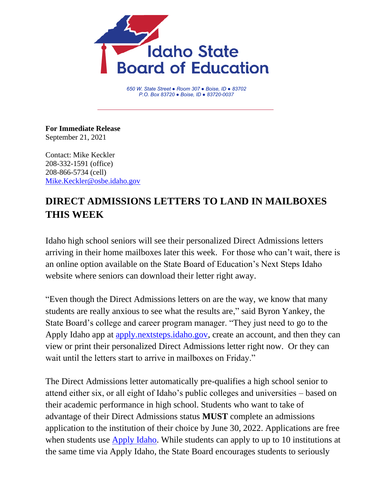

*650 W. State Street ● Room 307 ● Boise, ID ● 83702 P.O. Box 83720 ● Boise, ID ● 83720-0037*

**For Immediate Release** September 21, 2021

Contact: Mike Keckler 208-332-1591 (office) 208-866-5734 (cell) [Mike.Keckler@osbe.idaho.gov](mailto:Mike.Keckler@osbe.idaho.gov)

## **DIRECT ADMISSIONS LETTERS TO LAND IN MAILBOXES THIS WEEK**

Idaho high school seniors will see their personalized Direct Admissions letters arriving in their home mailboxes later this week. For those who can't wait, there is an online option available on the State Board of Education's Next Steps Idaho website where seniors can download their letter right away.

"Even though the Direct Admissions letters on are the way, we know that many students are really anxious to see what the results are," said Byron Yankey, the State Board's college and career program manager. "They just need to go to the Apply Idaho app at [apply.nextsteps.idaho.gov,](https://apply.nextsteps.idaho.gov/) create an account, and then they can view or print their personalized Direct Admissions letter right now. Or they can wait until the letters start to arrive in mailboxes on Friday."

The Direct Admissions letter automatically pre-qualifies a high school senior to attend either six, or all eight of Idaho's public colleges and universities – based on their academic performance in high school. Students who want to take of advantage of their Direct Admissions status **MUST** complete an admissions application to the institution of their choice by June 30, 2022. Applications are free when students use [Apply Idaho.](https://apply.nextsteps.idaho.gov/) While students can apply to up to 10 institutions at the same time via Apply Idaho, the State Board encourages students to seriously